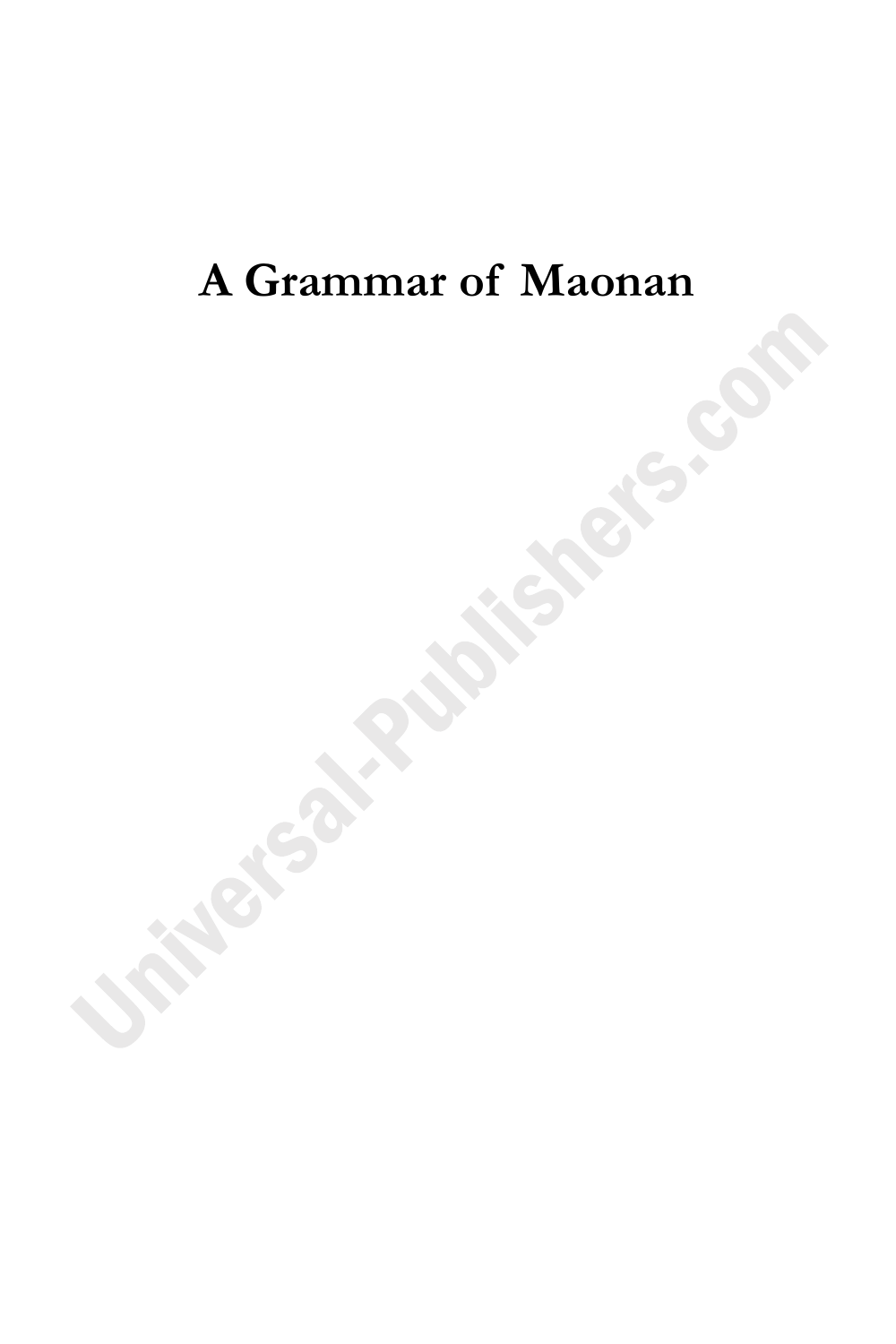# **A Grammar of Maonan**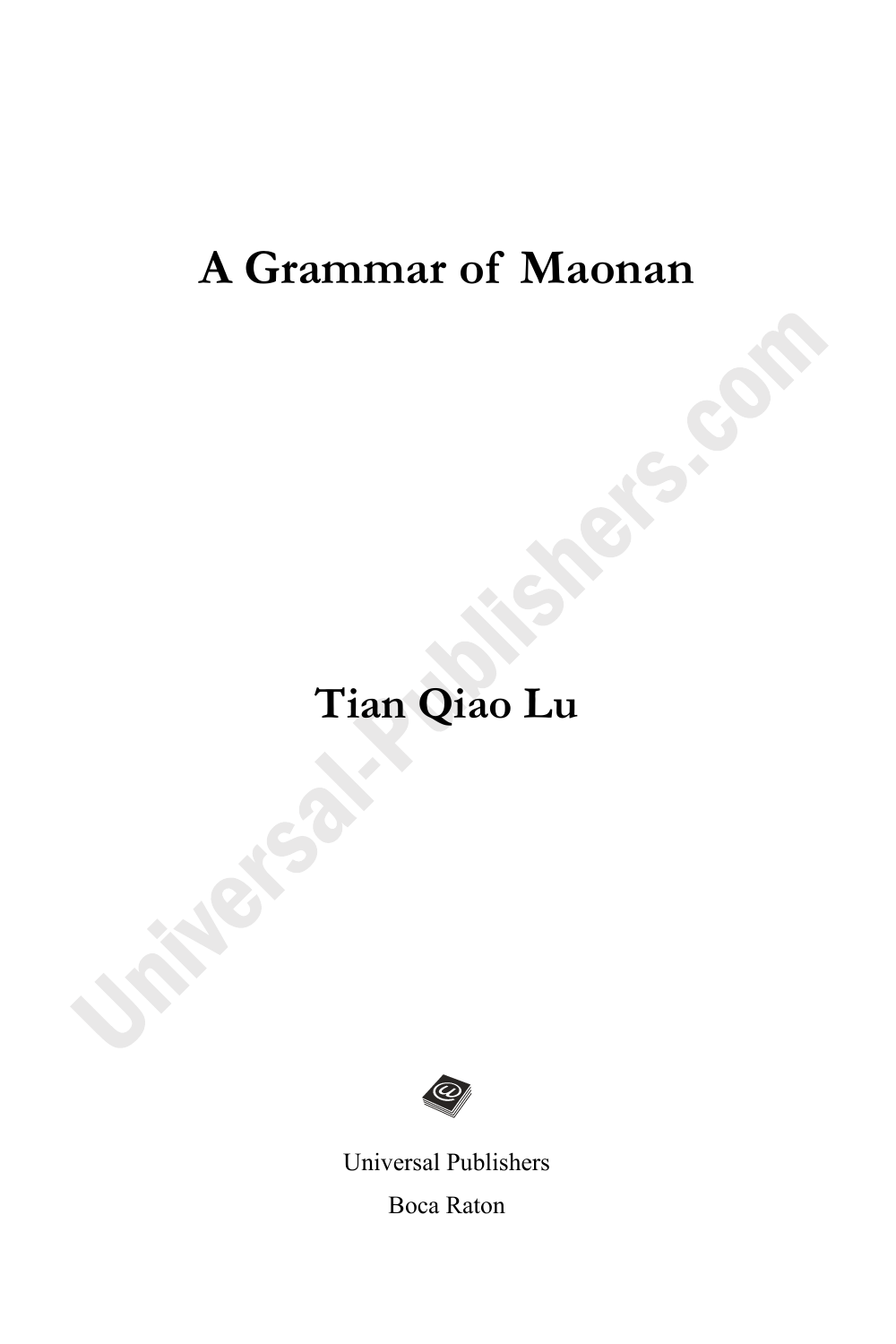## **A Grammar of Maonan**

# **Tian Qiao Lu**



Universal Publishers Boca Raton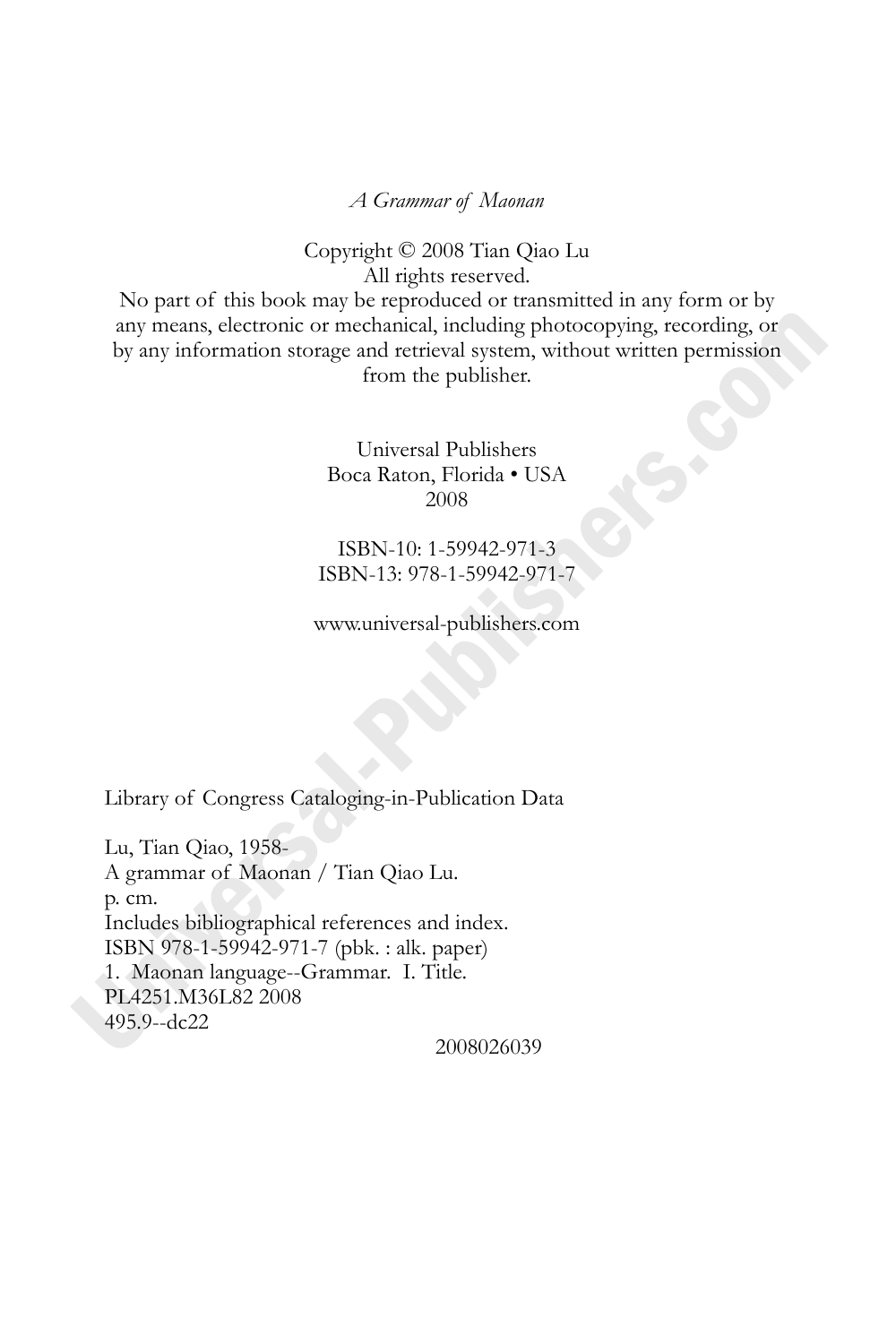*A Grammar of Maonan* 

Copyright © 2008 Tian Qiao Lu All rights reserved.

No part of this book may be reproduced or transmitted in any form or by any means, electronic or mechanical, including photocopying, recording, or by any information storage and retrieval system, without written permission from the publisher.

> Universal Publishers Boca Raton, Florida • USA 2008

ISBN-10: 1-59942-971-3 ISBN-13: 978-1-59942-971-7

www.universal-publishers.com

Library of Congress Cataloging-in-Publication Data

Lu, Tian Qiao, 1958- A grammar of Maonan / Tian Qiao Lu. p. cm. Includes bibliographical references and index. ISBN 978-1-59942-971-7 (pbk. : alk. paper) 1. Maonan language--Grammar. I. Title. PL4251.M36L82 2008 495.9--dc22

2008026039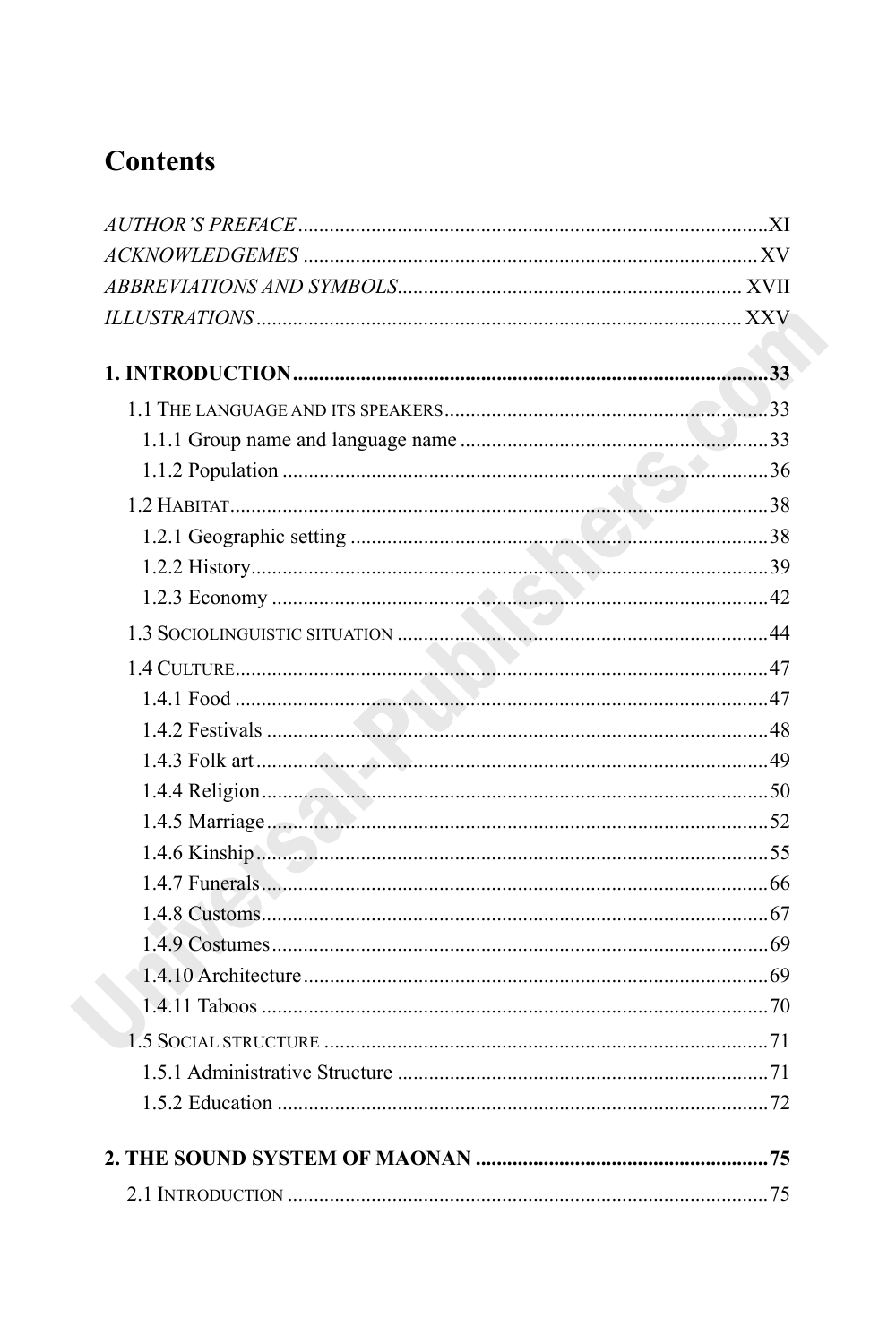## **Contents**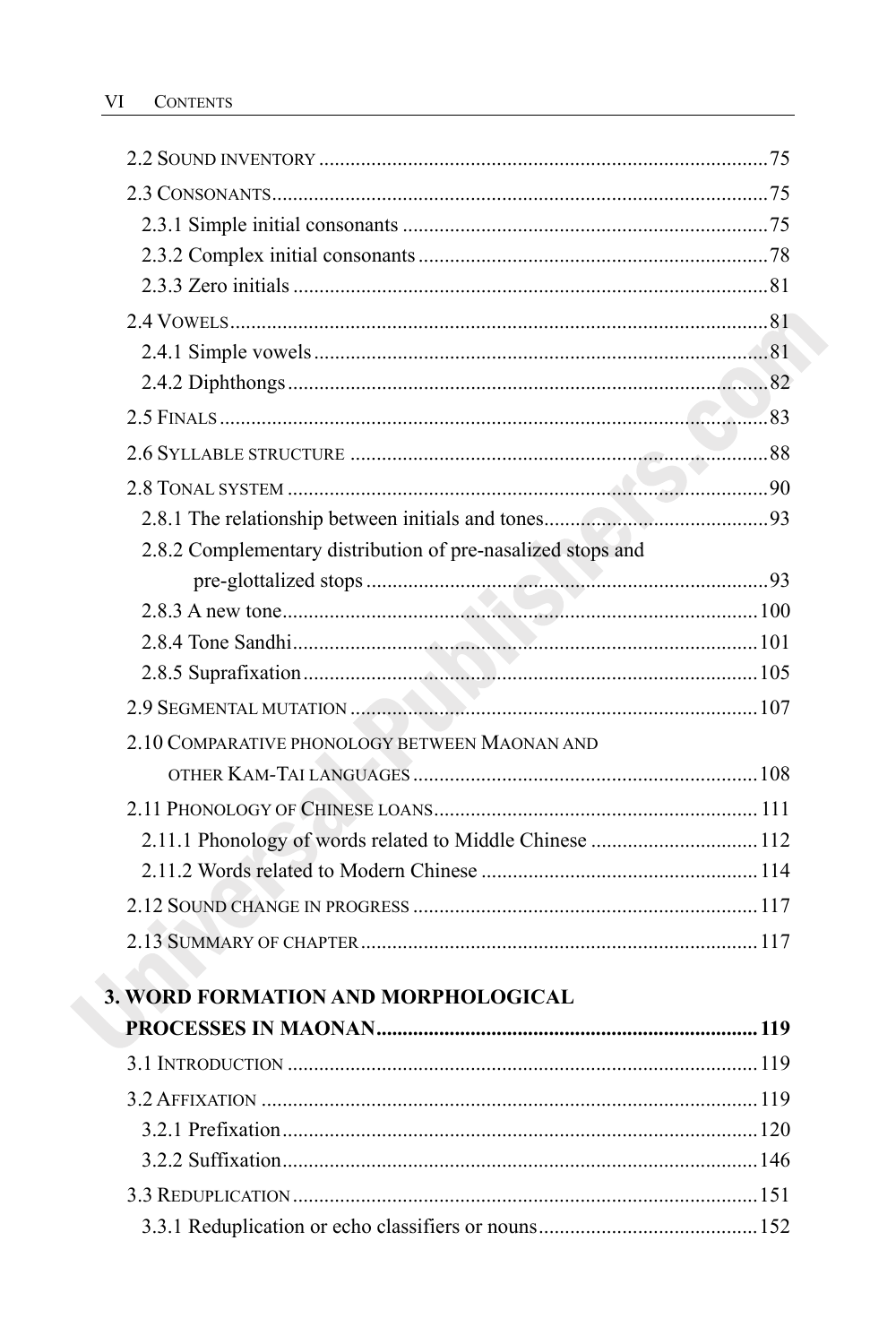| 2.8.2 Complementary distribution of pre-nasalized stops and |                |
|-------------------------------------------------------------|----------------|
|                                                             |                |
|                                                             |                |
|                                                             |                |
|                                                             |                |
|                                                             |                |
| 2.10 COMPARATIVE PHONOLOGY BETWEEN MAONAN AND               |                |
|                                                             |                |
|                                                             |                |
|                                                             |                |
|                                                             |                |
|                                                             |                |
|                                                             |                |
|                                                             |                |
| 3. WORD FORMATION AND MORPHOLOGICAL                         |                |
|                                                             |                |
| 3.1 INTRODUCTION                                            | <sup>119</sup> |
|                                                             |                |
|                                                             |                |
|                                                             |                |
|                                                             |                |
|                                                             |                |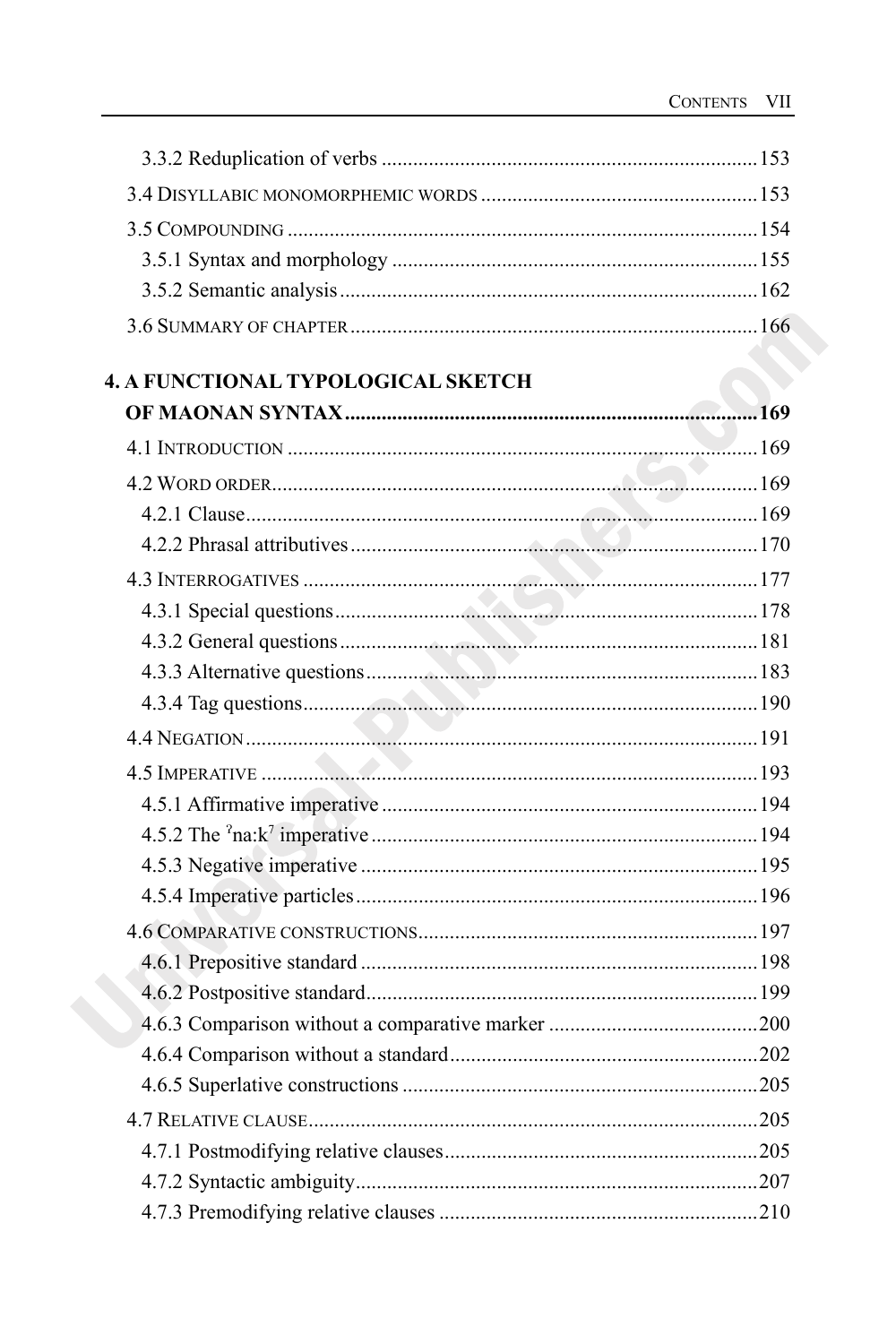| 4. A FUNCTIONAL TYPOLOGICAL SKETCH |  |
|------------------------------------|--|
|                                    |  |
|                                    |  |
|                                    |  |
|                                    |  |
|                                    |  |
|                                    |  |
|                                    |  |
|                                    |  |
|                                    |  |
|                                    |  |
|                                    |  |
|                                    |  |
|                                    |  |
|                                    |  |
|                                    |  |
|                                    |  |
|                                    |  |
|                                    |  |
|                                    |  |
|                                    |  |
|                                    |  |
|                                    |  |
|                                    |  |
|                                    |  |
|                                    |  |
|                                    |  |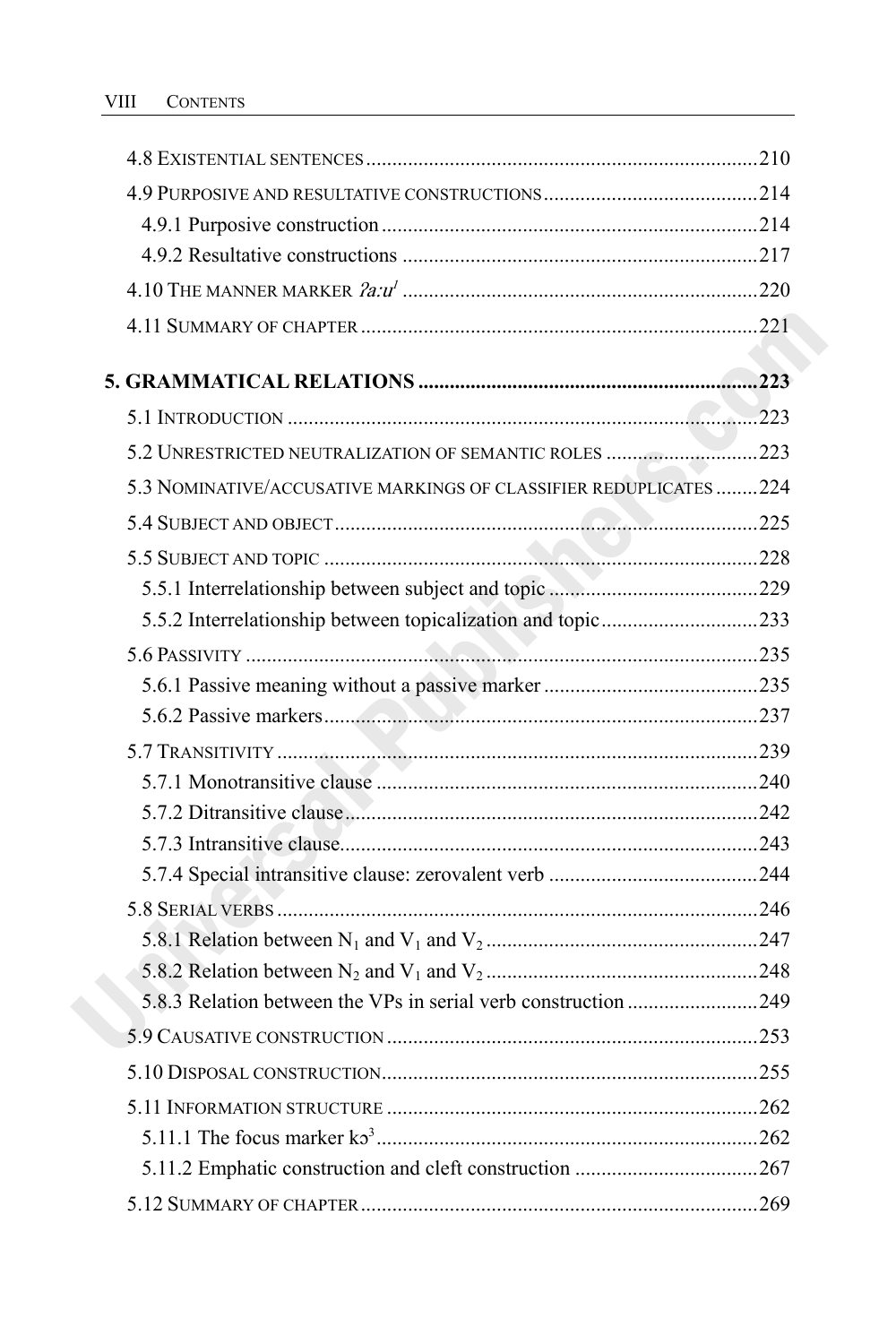| 5.3 NOMINATIVE/ACCUSATIVE MARKINGS OF CLASSIFIER REDUPLICATES 224 |  |
|-------------------------------------------------------------------|--|
|                                                                   |  |
|                                                                   |  |
|                                                                   |  |
| 5.5.2 Interrelationship between topicalization and topic233       |  |
|                                                                   |  |
|                                                                   |  |
|                                                                   |  |
|                                                                   |  |
|                                                                   |  |
|                                                                   |  |
|                                                                   |  |
|                                                                   |  |
|                                                                   |  |
|                                                                   |  |
|                                                                   |  |
|                                                                   |  |
|                                                                   |  |
|                                                                   |  |
|                                                                   |  |
|                                                                   |  |
|                                                                   |  |
|                                                                   |  |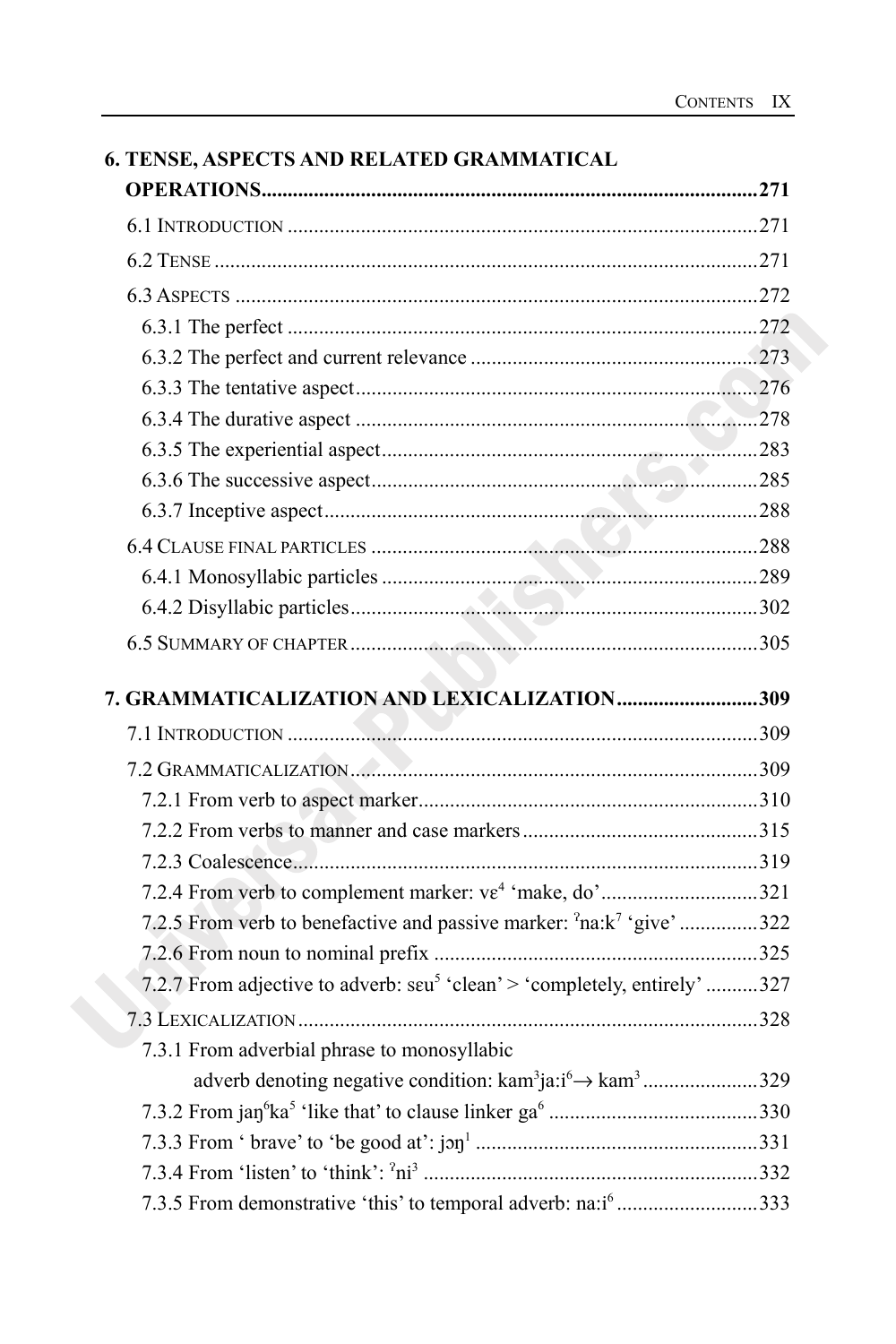| <b>6. TENSE, ASPECTS AND RELATED GRAMMATICAL</b>                                            |  |
|---------------------------------------------------------------------------------------------|--|
|                                                                                             |  |
|                                                                                             |  |
|                                                                                             |  |
|                                                                                             |  |
|                                                                                             |  |
|                                                                                             |  |
|                                                                                             |  |
|                                                                                             |  |
|                                                                                             |  |
|                                                                                             |  |
|                                                                                             |  |
|                                                                                             |  |
|                                                                                             |  |
|                                                                                             |  |
|                                                                                             |  |
| 7. GRAMMATICALIZATION AND LEXICALIZATION309                                                 |  |
|                                                                                             |  |
|                                                                                             |  |
|                                                                                             |  |
|                                                                                             |  |
|                                                                                             |  |
|                                                                                             |  |
| 7.2.5 From verb to benefactive and passive marker: <sup>2</sup> na:k <sup>7</sup> 'give'322 |  |
|                                                                                             |  |
| 7.2.7 From adjective to adverb: seu <sup>5</sup> 'clean' > 'completely, entirely' 327       |  |
|                                                                                             |  |
| 7.3.1 From adverbial phrase to monosyllabic                                                 |  |
|                                                                                             |  |
|                                                                                             |  |
|                                                                                             |  |
|                                                                                             |  |
| 7.3.5 From demonstrative 'this' to temporal adverb: na:i <sup>6</sup> 333                   |  |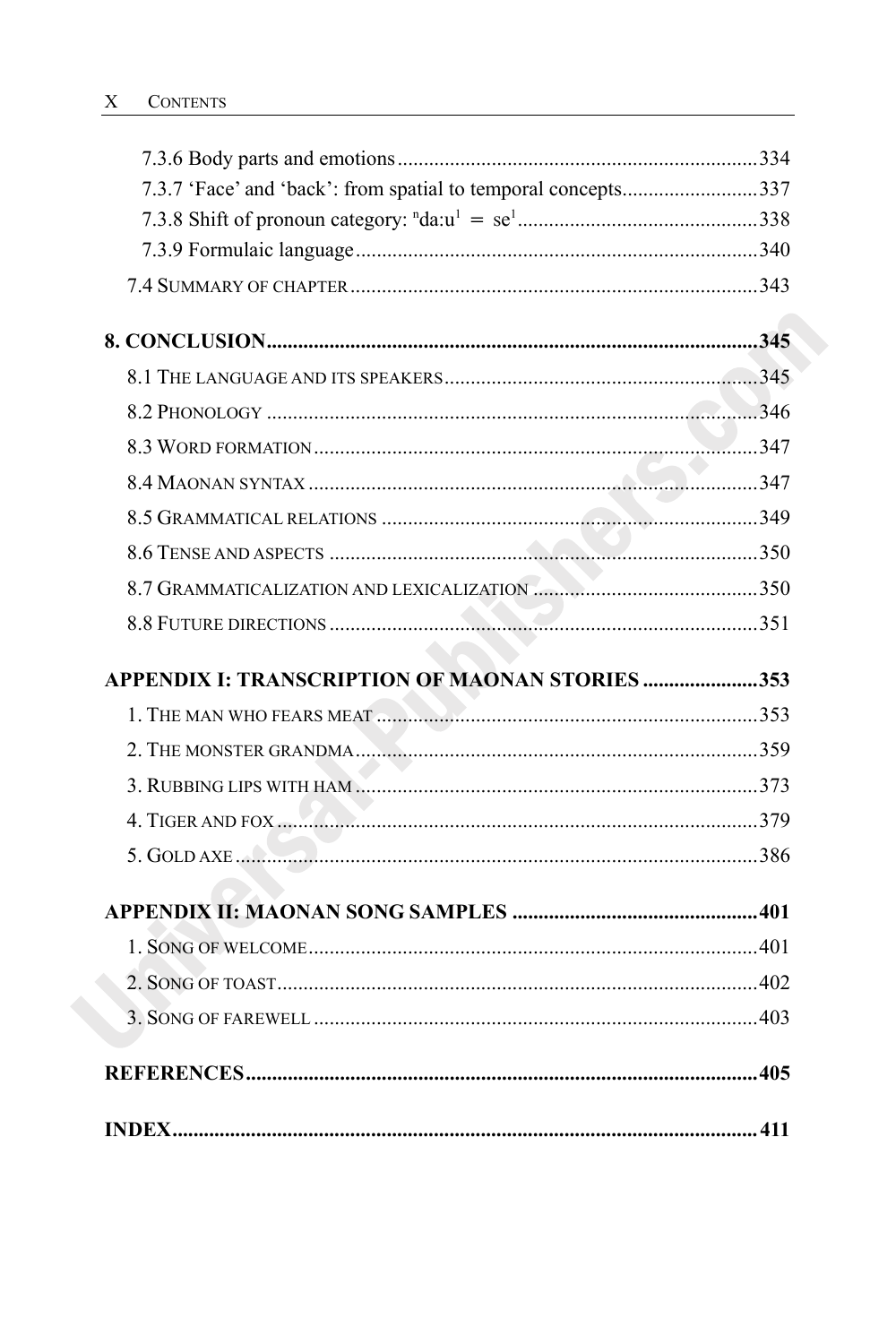| 7.3.7 'Face' and 'back': from spatial to temporal concepts337 |  |
|---------------------------------------------------------------|--|
|                                                               |  |
|                                                               |  |
|                                                               |  |
|                                                               |  |
|                                                               |  |
|                                                               |  |
|                                                               |  |
|                                                               |  |
|                                                               |  |
|                                                               |  |
|                                                               |  |
|                                                               |  |
| APPENDIX I: TRANSCRIPTION OF MAONAN STORIES 353               |  |
|                                                               |  |
|                                                               |  |
|                                                               |  |
|                                                               |  |
|                                                               |  |
|                                                               |  |
|                                                               |  |
|                                                               |  |
|                                                               |  |
|                                                               |  |
|                                                               |  |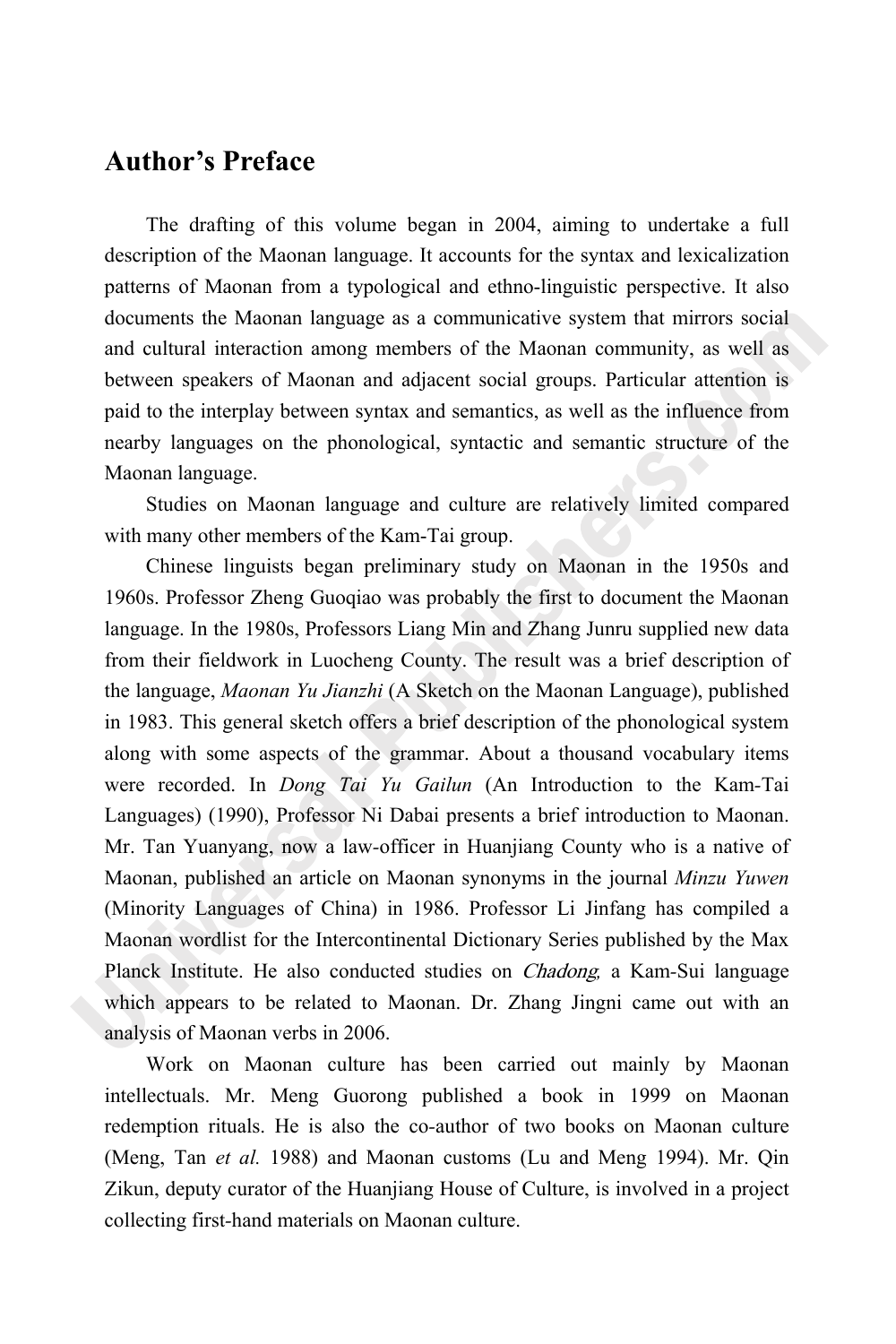### **Author's Preface**

The drafting of this volume began in 2004, aiming to undertake a full description of the Maonan language. It accounts for the syntax and lexicalization patterns of Maonan from a typological and ethno-linguistic perspective. It also documents the Maonan language as a communicative system that mirrors social and cultural interaction among members of the Maonan community, as well as between speakers of Maonan and adjacent social groups. Particular attention is paid to the interplay between syntax and semantics, as well as the influence from nearby languages on the phonological, syntactic and semantic structure of the Maonan language.

Studies on Maonan language and culture are relatively limited compared with many other members of the Kam-Tai group.

Chinese linguists began preliminary study on Maonan in the 1950s and 1960s. Professor Zheng Guoqiao was probably the first to document the Maonan language. In the 1980s, Professors Liang Min and Zhang Junru supplied new data from their fieldwork in Luocheng County. The result was a brief description of the language, *Maonan Yu Jianzhi* (A Sketch on the Maonan Language), published in 1983. This general sketch offers a brief description of the phonological system along with some aspects of the grammar. About a thousand vocabulary items were recorded. In *Dong Tai Yu Gailun* (An Introduction to the Kam*-*Tai Languages) (1990), Professor Ni Dabai presents a brief introduction to Maonan. Mr. Tan Yuanyang, now a law*-*officer in Huanjiang County who is a native of Maonan, published an article on Maonan synonyms in the journal *Minzu Yuwen* (Minority Languages of China) in 1986. Professor Li Jinfang has compiled a Maonan wordlist for the Intercontinental Dictionary Series published by the Max Planck Institute. He also conducted studies on Chadong*,* a Kam*-*Sui language which appears to be related to Maonan. Dr. Zhang Jingni came out with an analysis of Maonan verbs in 2006.

Work on Maonan culture has been carried out mainly by Maonan intellectuals. Mr. Meng Guorong published a book in 1999 on Maonan redemption rituals. He is also the co*-*author of two books on Maonan culture (Meng, Tan *et al.* 1988) and Maonan customs (Lu and Meng 1994). Mr. Qin Zikun, deputy curator of the Huanjiang House of Culture, is involved in a project collecting first*-*hand materials on Maonan culture.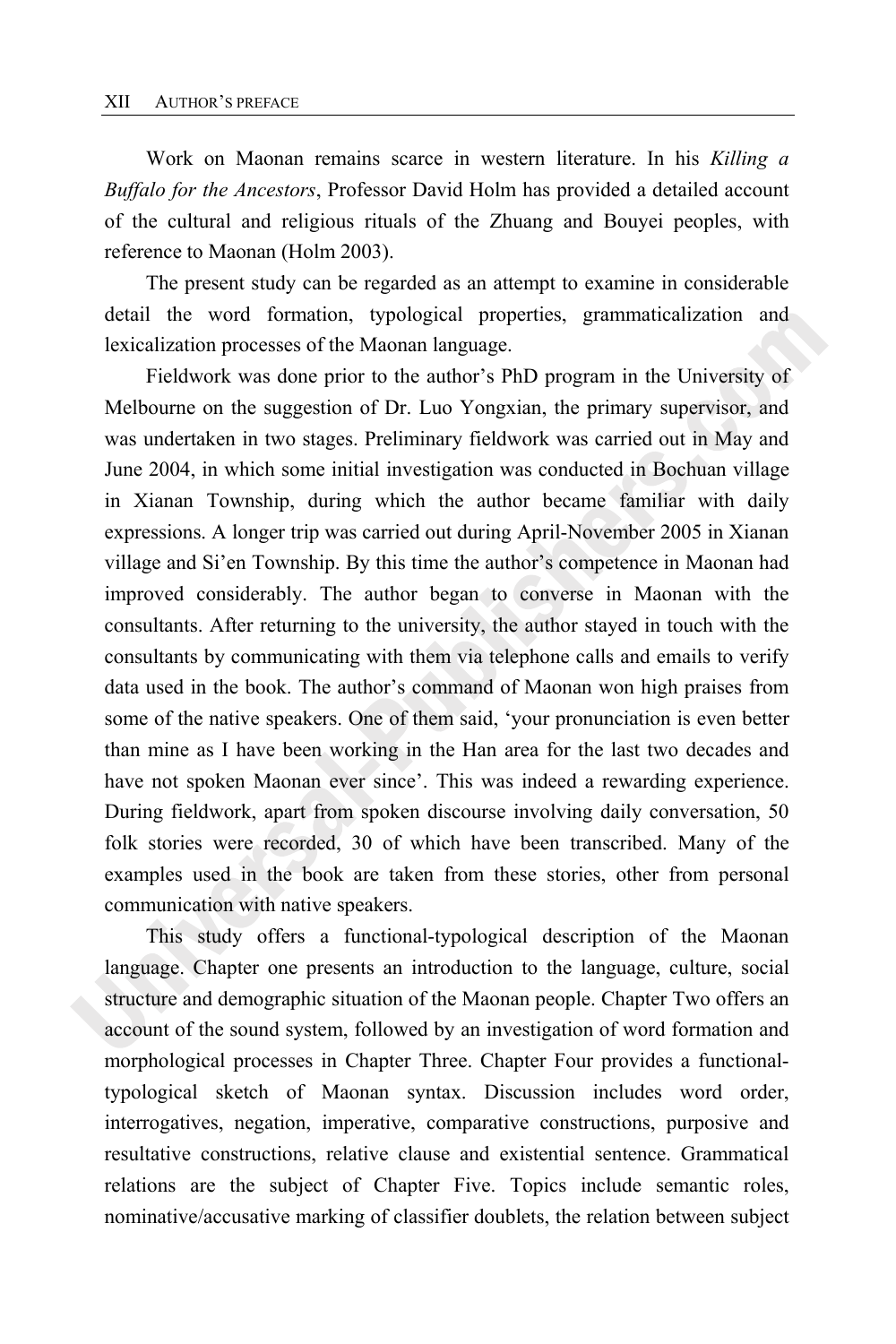Work on Maonan remains scarce in western literature. In his *Killing a Buffalo for the Ancestors*, Professor David Holm has provided a detailed account of the cultural and religious rituals of the Zhuang and Bouyei peoples, with reference to Maonan (Holm 2003).

The present study can be regarded as an attempt to examine in considerable detail the word formation, typological properties, grammaticalization and lexicalization processes of the Maonan language.

Fieldwork was done prior to the author's PhD program in the University of Melbourne on the suggestion of Dr. Luo Yongxian, the primary supervisor, and was undertaken in two stages. Preliminary fieldwork was carried out in May and June 2004, in which some initial investigation was conducted in Bochuan village in Xianan Township, during which the author became familiar with daily expressions. A longer trip was carried out during April-November 2005 in Xianan village and Si'en Township. By this time the author's competence in Maonan had improved considerably. The author began to converse in Maonan with the consultants. After returning to the university, the author stayed in touch with the consultants by communicating with them via telephone calls and emails to verify data used in the book. The author's command of Maonan won high praises from some of the native speakers. One of them said, 'your pronunciation is even better than mine as I have been working in the Han area for the last two decades and have not spoken Maonan ever since'. This was indeed a rewarding experience. During fieldwork, apart from spoken discourse involving daily conversation, 50 folk stories were recorded, 30 of which have been transcribed. Many of the examples used in the book are taken from these stories, other from personal communication with native speakers.

This study offers a functional-typological description of the Maonan language. Chapter one presents an introduction to the language, culture, social structure and demographic situation of the Maonan people. Chapter Two offers an account of the sound system, followed by an investigation of word formation and morphological processes in Chapter Three. Chapter Four provides a functionaltypological sketch of Maonan syntax. Discussion includes word order, interrogatives, negation, imperative, comparative constructions, purposive and resultative constructions, relative clause and existential sentence. Grammatical relations are the subject of Chapter Five. Topics include semantic roles, nominative/accusative marking of classifier doublets, the relation between subject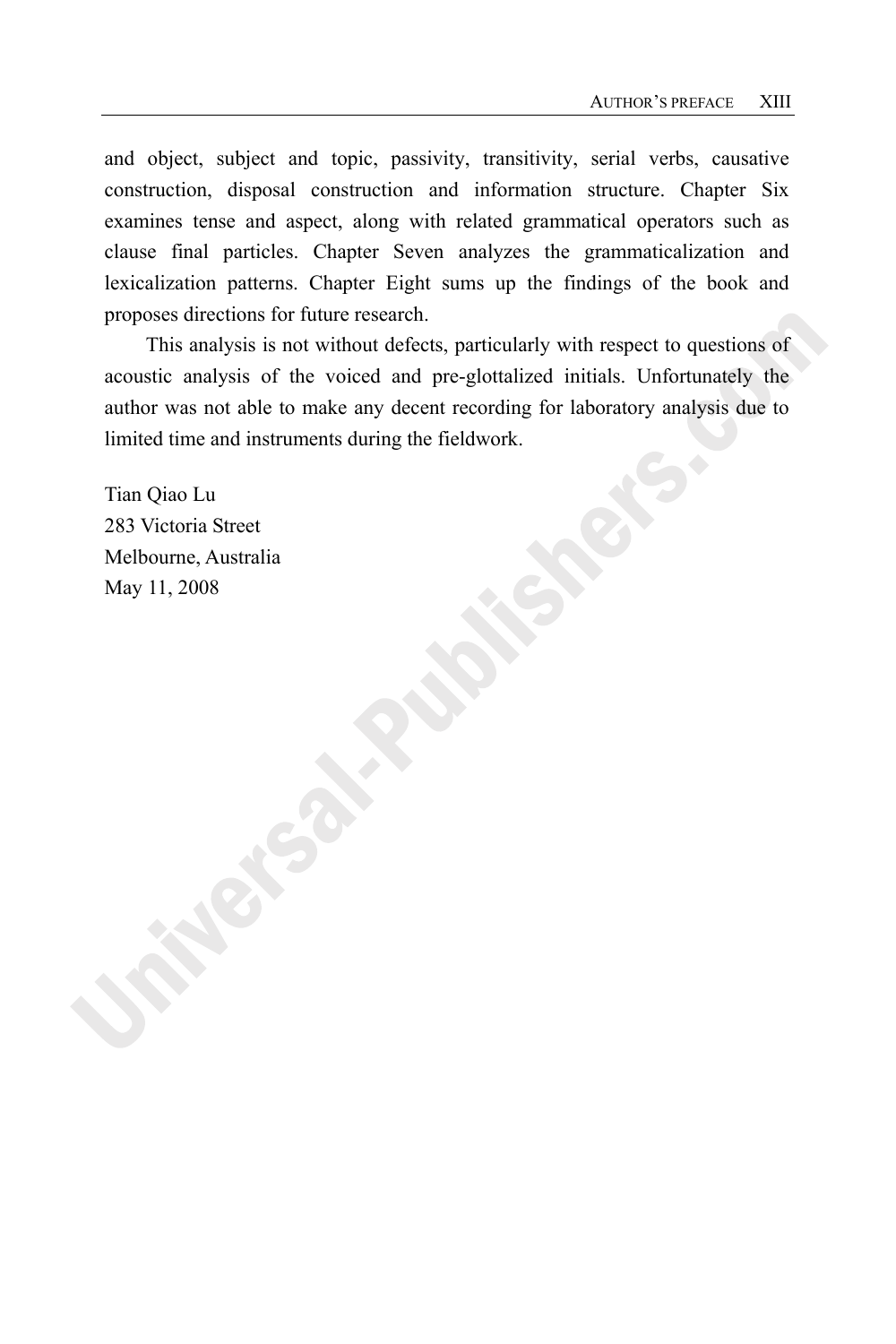and object, subject and topic, passivity, transitivity, serial verbs, causative construction, disposal construction and information structure. Chapter Six examines tense and aspect, along with related grammatical operators such as clause final particles. Chapter Seven analyzes the grammaticalization and lexicalization patterns. Chapter Eight sums up the findings of the book and proposes directions for future research.

This analysis is not without defects, particularly with respect to questions of acoustic analysis of the voiced and pre-glottalized initials. Unfortunately the author was not able to make any decent recording for laboratory analysis due to limited time and instruments during the fieldwork.

Tian Qiao Lu 283 Victoria Street Melbourne, Australia May 11, 2008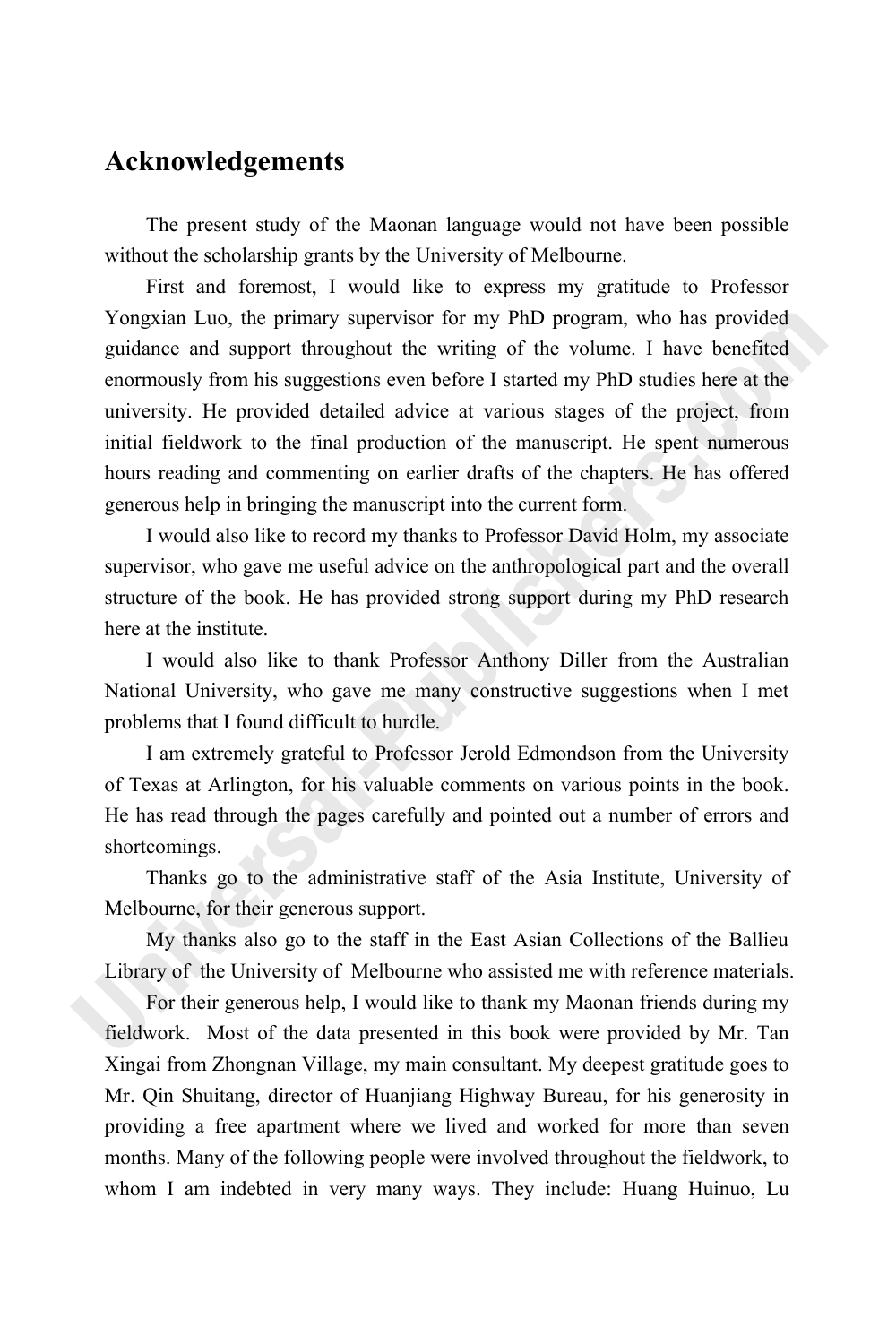### **Acknowledgements**

The present study of the Maonan language would not have been possible without the scholarship grants by the University of Melbourne.

First and foremost, I would like to express my gratitude to Professor Yongxian Luo, the primary supervisor for my PhD program, who has provided guidance and support throughout the writing of the volume. I have benefited enormously from his suggestions even before I started my PhD studies here at the university. He provided detailed advice at various stages of the project, from initial fieldwork to the final production of the manuscript. He spent numerous hours reading and commenting on earlier drafts of the chapters. He has offered generous help in bringing the manuscript into the current form.

I would also like to record my thanks to Professor David Holm, my associate supervisor, who gave me useful advice on the anthropological part and the overall structure of the book. He has provided strong support during my PhD research here at the institute.

I would also like to thank Professor Anthony Diller from the Australian National University, who gave me many constructive suggestions when I met problems that I found difficult to hurdle.

I am extremely grateful to Professor Jerold Edmondson from the University of Texas at Arlington, for his valuable comments on various points in the book. He has read through the pages carefully and pointed out a number of errors and shortcomings.

Thanks go to the administrative staff of the Asia Institute, University of Melbourne, for their generous support.

My thanks also go to the staff in the East Asian Collections of the Ballieu Library of the University of Melbourne who assisted me with reference materials.

For their generous help, I would like to thank my Maonan friends during my fieldwork. Most of the data presented in this book were provided by Mr. Tan Xingai from Zhongnan Village, my main consultant. My deepest gratitude goes to Mr. Qin Shuitang, director of Huanjiang Highway Bureau, for his generosity in providing a free apartment where we lived and worked for more than seven months. Many of the following people were involved throughout the fieldwork, to whom I am indebted in very many ways. They include: Huang Huinuo, Lu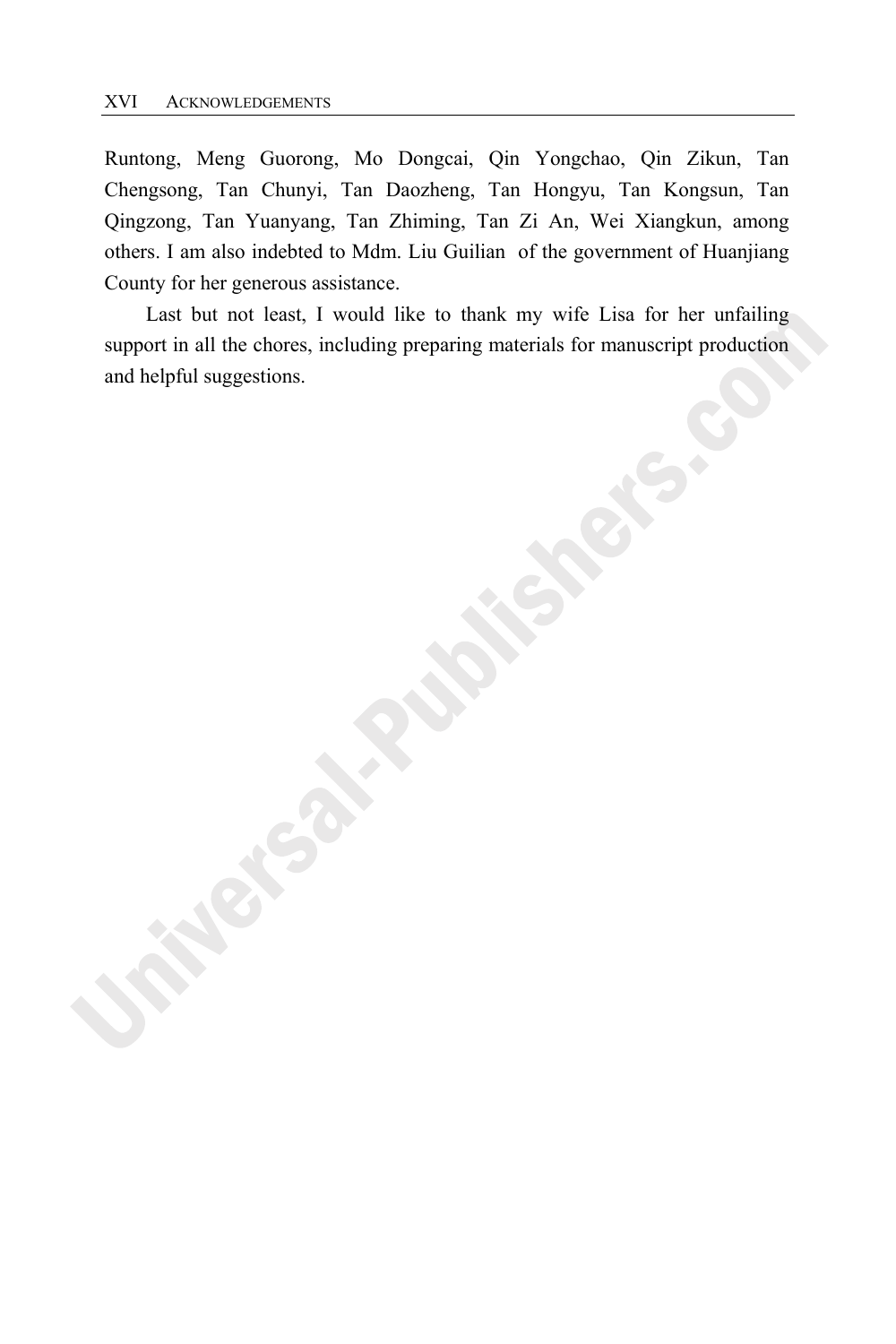Runtong, Meng Guorong, Mo Dongcai, Qin Yongchao, Qin Zikun, Tan Chengsong, Tan Chunyi, Tan Daozheng, Tan Hongyu, Tan Kongsun, Tan Qingzong, Tan Yuanyang, Tan Zhiming, Tan Zi An, Wei Xiangkun, among others. I am also indebted to Mdm. Liu Guilian of the government of Huanjiang County for her generous assistance.

Last but not least, I would like to thank my wife Lisa for her unfailing support in all the chores, including preparing materials for manuscript production and helpful suggestions.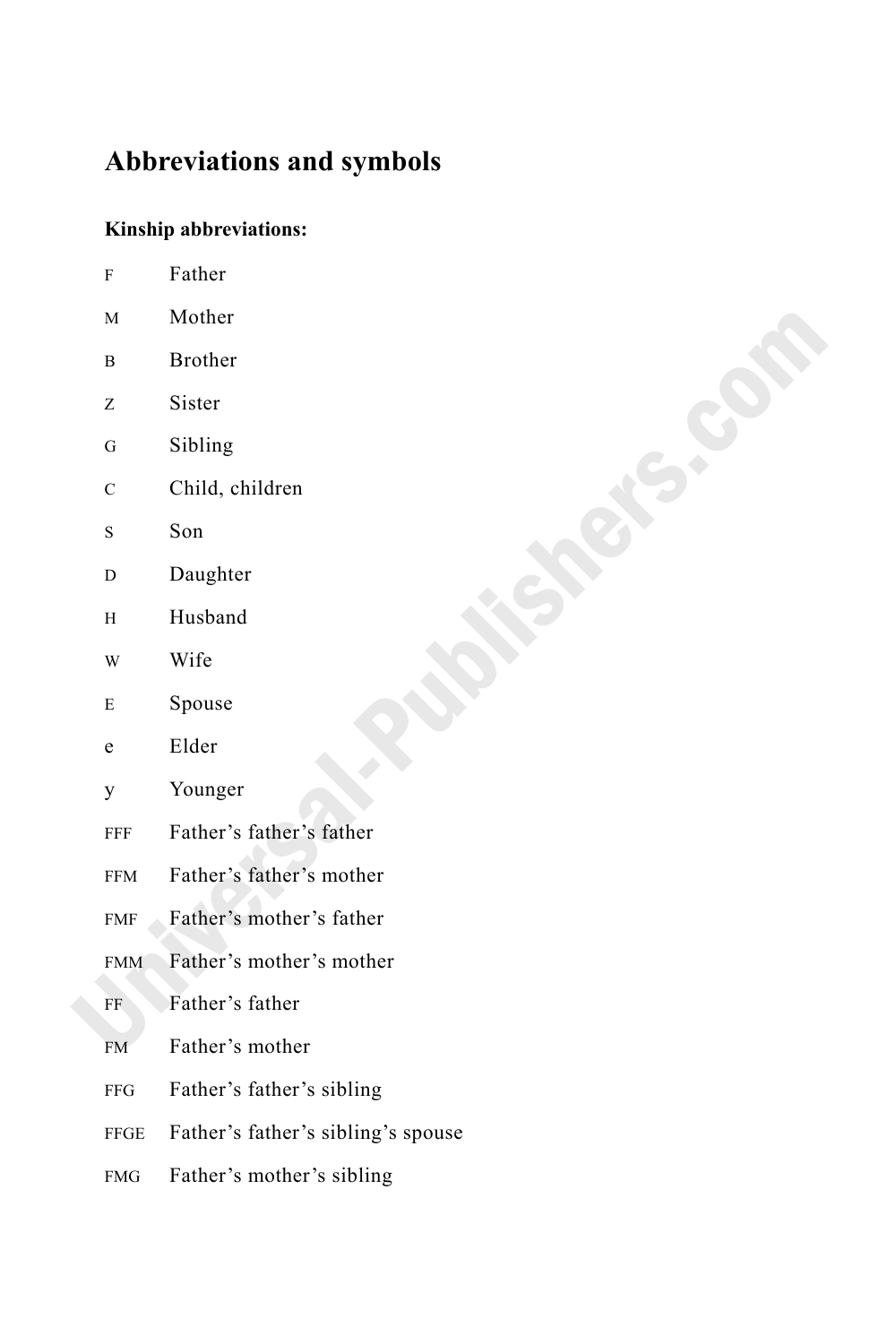## **Abbreviations and symbols**

### **Kinship abbreviations:**

| F           | Father                             |
|-------------|------------------------------------|
| M           | Mother                             |
| В           | <b>Brother</b>                     |
| Z           | Sister                             |
| G           | Sibling                            |
| C           | Child, children                    |
| S           | Son                                |
| D           | Daughter                           |
| H           | Husband                            |
| W           | Wife                               |
| E           | Spouse                             |
| e           | Elder                              |
| y           | Younger                            |
| FFF         | Father's father's father           |
| <b>FFM</b>  | Father's father's mother           |
| <b>FMF</b>  | Father's mother's father           |
| <b>FMM</b>  | Father's mother's mother           |
| FF          | Father's father                    |
| <b>FM</b>   | Father's mother                    |
| <b>FFG</b>  | Father's father's sibling          |
| <b>FFGE</b> | Father's father's sibling's spouse |
| <b>FMG</b>  | Father's mother's sibling          |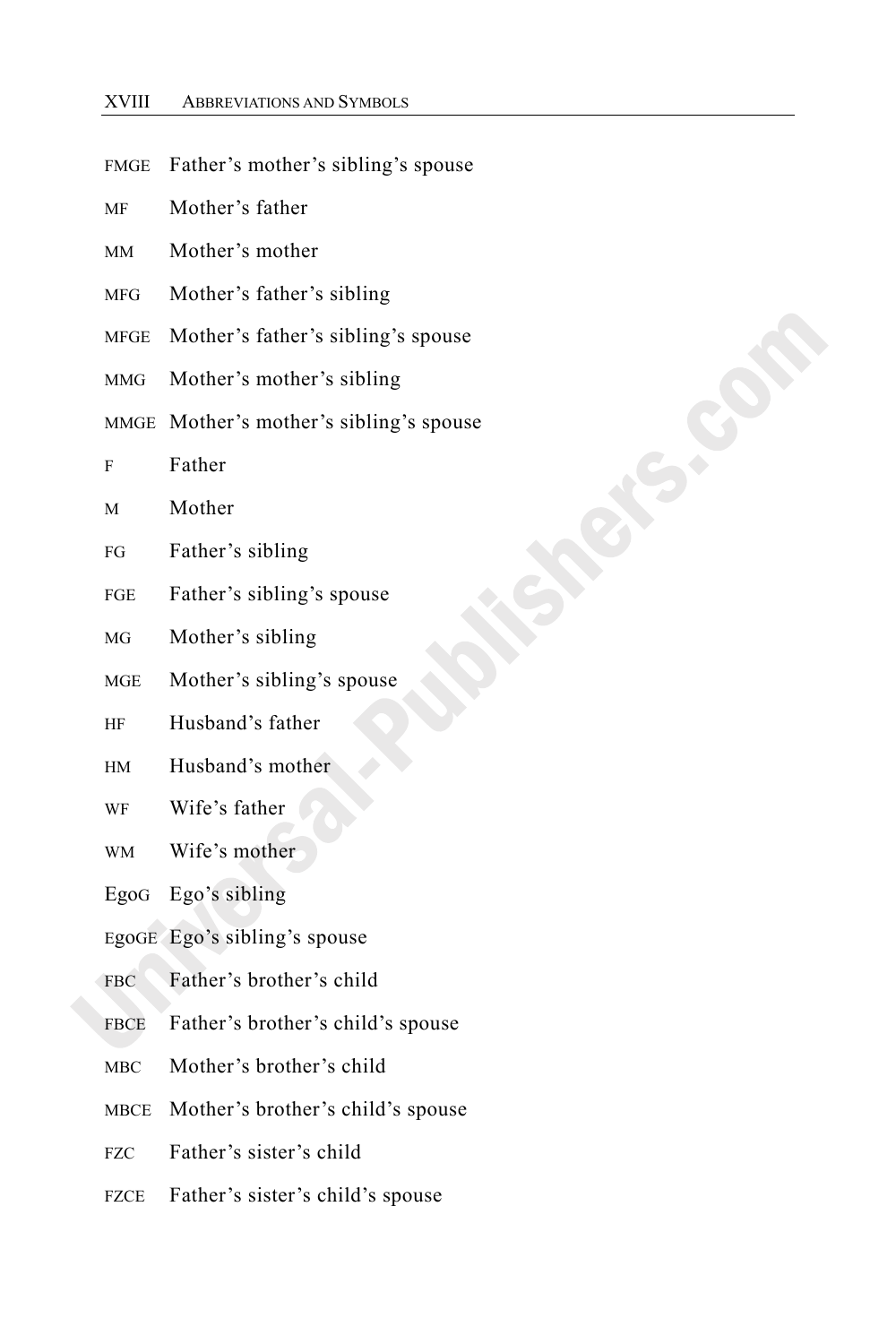| <b>FMGE</b> | Father's mother's sibling's spouse      |
|-------------|-----------------------------------------|
| MF          | Mother's father                         |
| MМ          | Mother's mother                         |
| <b>MFG</b>  | Mother's father's sibling               |
| MFGE        | Mother's father's sibling's spouse      |
| <b>MMG</b>  | Mother's mother's sibling               |
|             | MMGE Mother's mother's sibling's spouse |
| F           | Father                                  |
| M           | Mother                                  |
| FG          | Father's sibling                        |
| FGE         | Father's sibling's spouse               |
| MG          | Mother's sibling                        |
| MGE         | Mother's sibling's spouse               |
| HF          | Husband's father                        |
| HM          | Husband's mother                        |
| WF          | Wife's father                           |
| <b>WM</b>   | Wife's mother                           |
| EgoG        | Ego's sibling                           |
|             | EgoGE Ego's sibling's spouse            |
| <b>FBC</b>  | Father's brother's child                |
| <b>FBCE</b> | Father's brother's child's spouse       |
| MBC         | Mother's brother's child                |
| MBCE        | Mother's brother's child's spouse       |
| FZC         | Father's sister's child                 |
| <b>FZCE</b> | Father's sister's child's spouse        |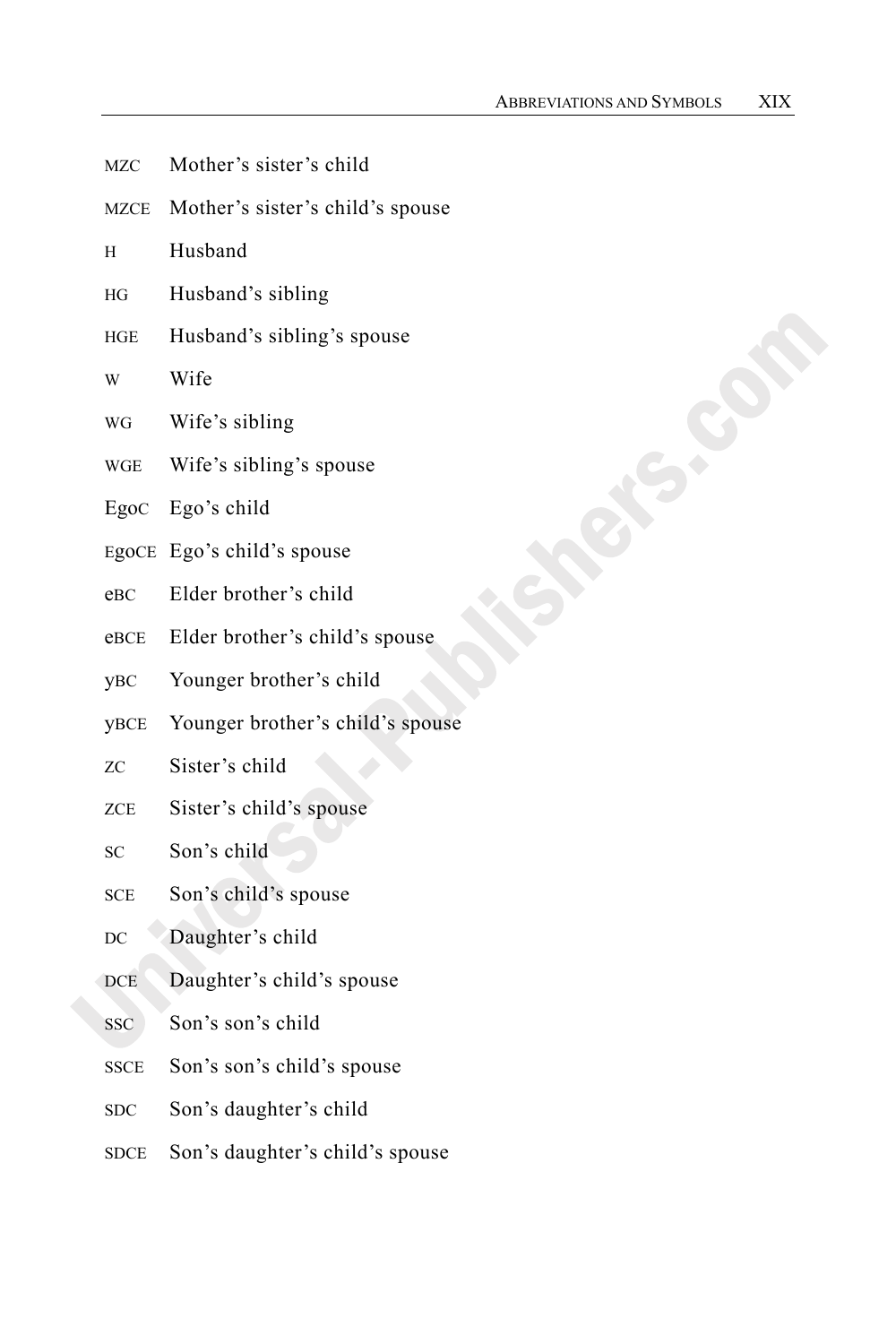- MZC Mother's sister's child
- MZCE Mother's sister's child's spouse
- H Husband
- HG Husband's sibling
- HGE Husband's sibling's spouse
- W Wife
- WG Wife's sibling
- WGE Wife's sibling's spouse
- EgoC Ego's child
- EgoCE Ego's child's spouse
- eBC Elder brother's child
- eBCE Elder brother's child's spouse
- yBC Younger brother's child
- yBCE Younger brother's child's spouse
- ZC Sister's child
- ZCE Sister's child's spouse
- SC Son's child
- SCE Son's child's spouse
- DC Daughter's child
- DCE Daughter's child's spouse
- SSC Son's son's child
- SSCE Son's son's child's spouse
- SDC Son's daughter's child
- SDCE Son's daughter's child's spouse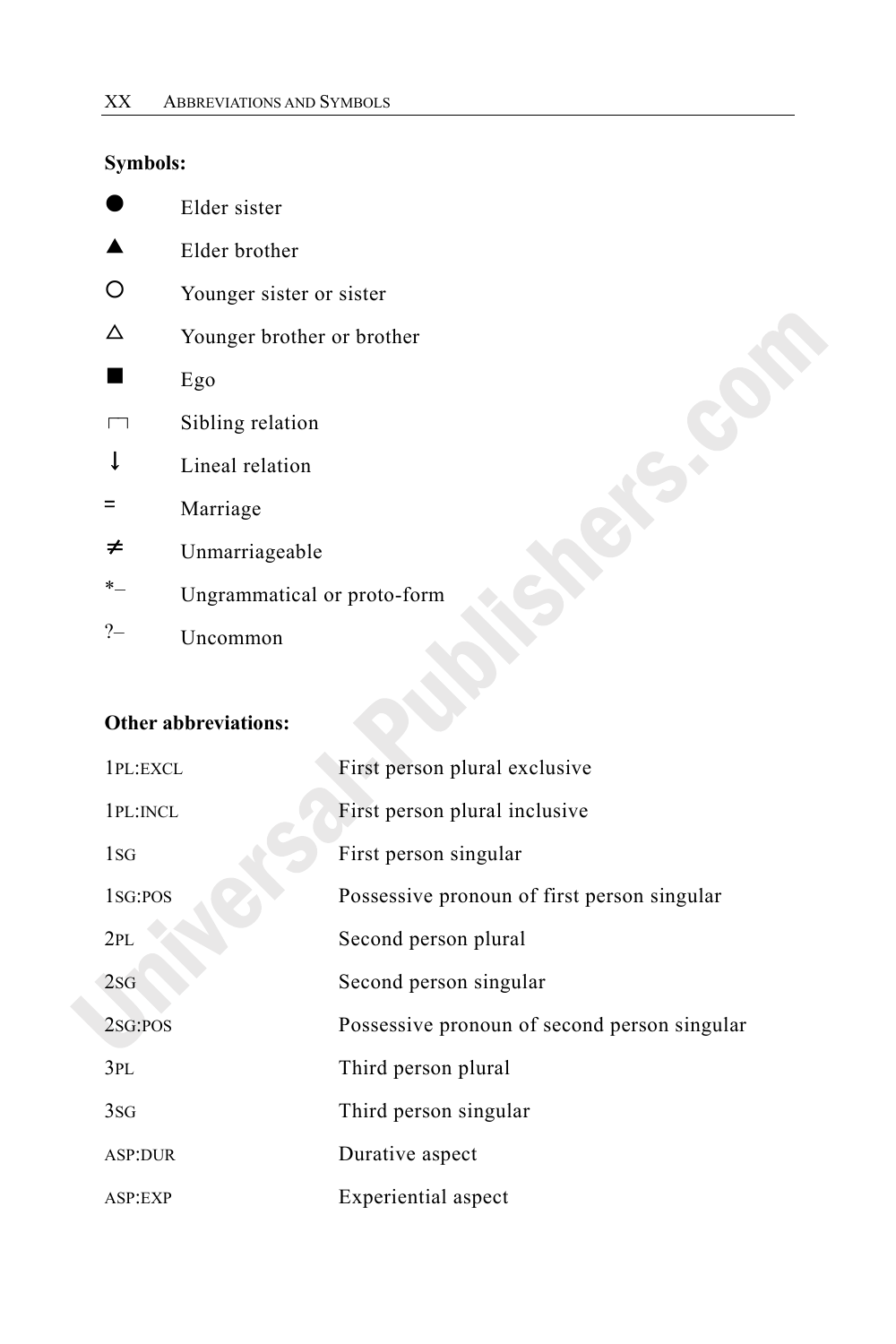### **Symbols:**

|         | Elder sister                |
|---------|-----------------------------|
|         | Elder brother               |
|         | Younger sister or sister    |
| Λ       | Younger brother or brother  |
|         | Ego                         |
|         | Sibling relation            |
| T       | Lineal relation             |
| $=$     | Marriage                    |
| ≠       | Unmarriageable              |
| $*_{-}$ | Ungrammatical or proto-form |
|         | Uncommon                    |

#### **Other abbreviations:**

| 1PL:EXCL             | First person plural exclusive                |
|----------------------|----------------------------------------------|
| 1PL: INCL            | First person plural inclusive                |
| 1SG                  | First person singular                        |
| 1 <sub>sG</sub> :POS | Possessive pronoun of first person singular  |
| 2PL                  | Second person plural                         |
| 2SG                  | Second person singular                       |
| 2SG:POS              | Possessive pronoun of second person singular |
| 3PL                  | Third person plural                          |
| 3SG                  | Third person singular                        |
| <b>ASP:DUR</b>       | Durative aspect                              |
| ASP:EXP              | Experiential aspect                          |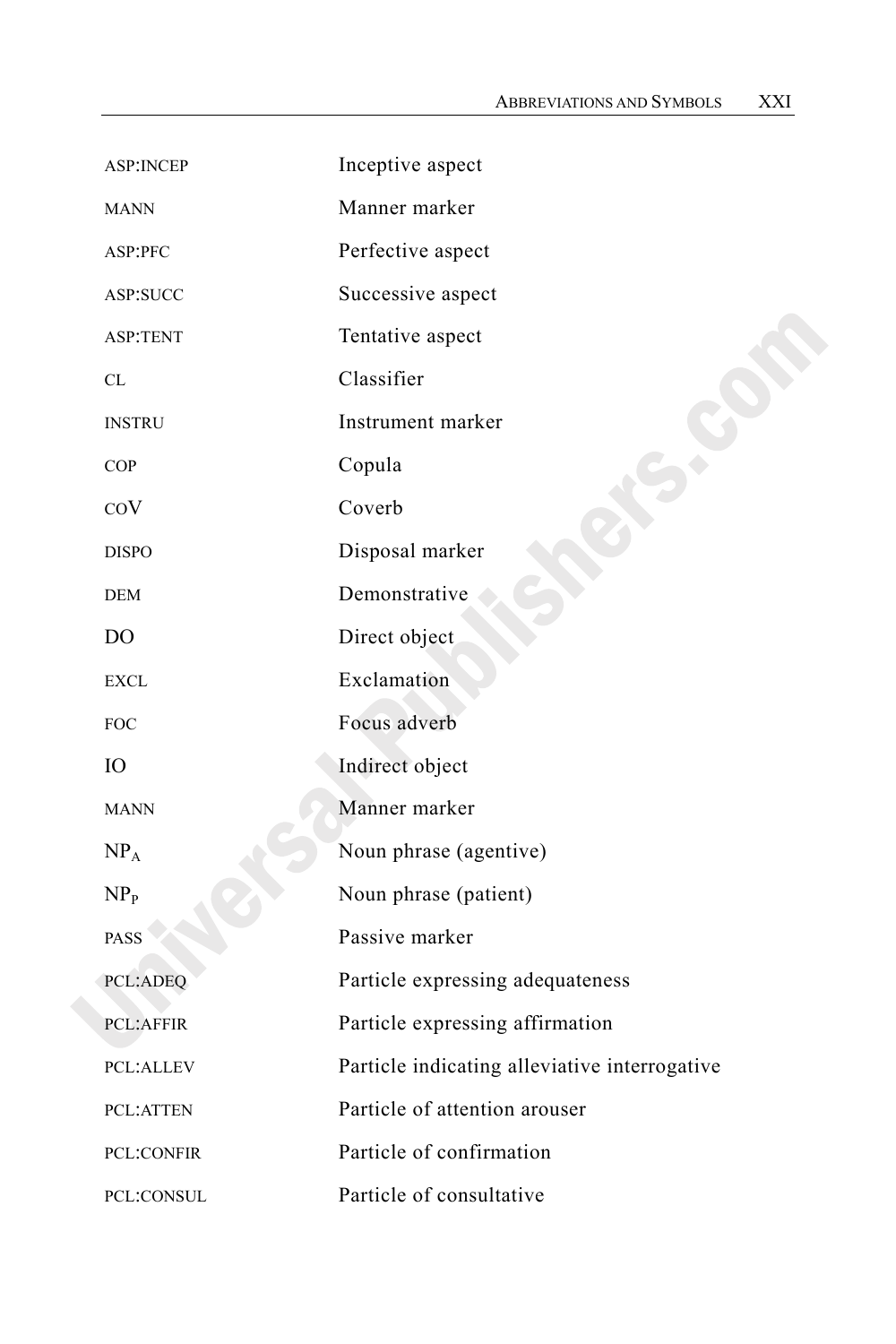| <b>ASP:INCEP</b>  | Inceptive aspect                              |
|-------------------|-----------------------------------------------|
| <b>MANN</b>       | Manner marker                                 |
| ASP:PFC           | Perfective aspect                             |
| ASP:SUCC          | Successive aspect                             |
| <b>ASP:TENT</b>   | Tentative aspect                              |
| CL                | Classifier                                    |
| <b>INSTRU</b>     | Instrument marker                             |
| <b>COP</b>        | Copula                                        |
| COV               | Coverb                                        |
| <b>DISPO</b>      | Disposal marker                               |
| <b>DEM</b>        | Demonstrative                                 |
| DO                | Direct object                                 |
| <b>EXCL</b>       | Exclamation                                   |
| <b>FOC</b>        | Focus adverb                                  |
| IО                | Indirect object                               |
| <b>MANN</b>       | Manner marker                                 |
| NP <sub>A</sub>   | Noun phrase (agentive)                        |
| NP <sub>p</sub>   | Noun phrase (patient)                         |
| <b>PASS</b>       | Passive marker                                |
| <b>PCL:ADEQ</b>   | Particle expressing adequateness              |
| <b>PCL:AFFIR</b>  | Particle expressing affirmation               |
| <b>PCL:ALLEV</b>  | Particle indicating alleviative interrogative |
| <b>PCL:ATTEN</b>  | Particle of attention arouser                 |
| <b>PCL:CONFIR</b> | Particle of confirmation                      |
| PCL:CONSUL        | Particle of consultative                      |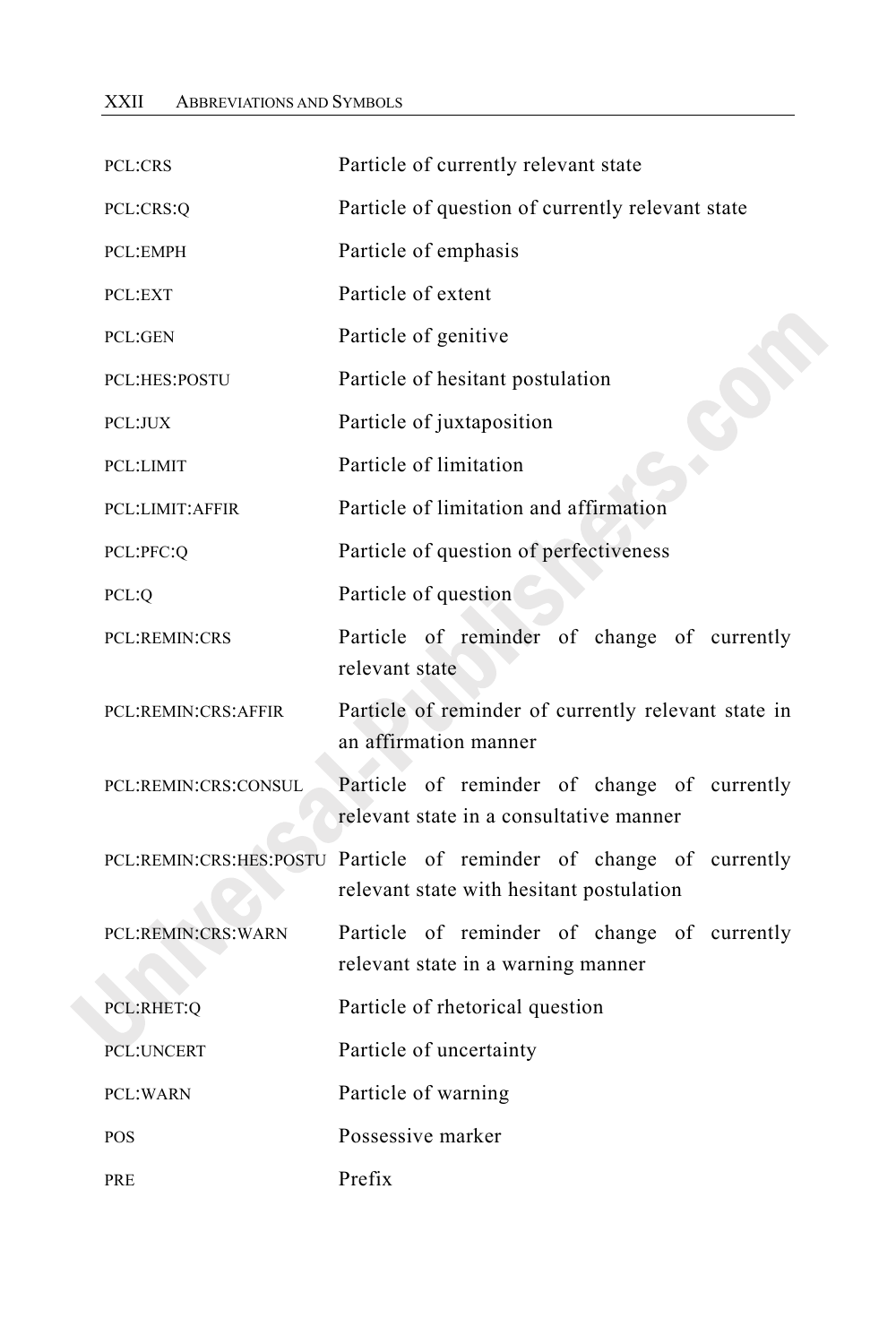| PCL:CRS                | Particle of currently relevant state                                                                            |
|------------------------|-----------------------------------------------------------------------------------------------------------------|
| PCL:CRS:Q              | Particle of question of currently relevant state                                                                |
| PCL:EMPH               | Particle of emphasis                                                                                            |
| PCL:EXT                | Particle of extent                                                                                              |
| PCL:GEN                | Particle of genitive                                                                                            |
| <b>PCL:HES:POSTU</b>   | Particle of hesitant postulation                                                                                |
| PCL:JUX                | Particle of juxtaposition                                                                                       |
| PCL:LIMIT              | Particle of limitation                                                                                          |
| <b>PCL:LIMIT:AFFIR</b> | Particle of limitation and affirmation                                                                          |
| PCL:PFC:Q              | Particle of question of perfectiveness                                                                          |
| PCL:Q                  | Particle of question                                                                                            |
| <b>PCL:REMIN:CRS</b>   | Particle of reminder of change of currently<br>relevant state                                                   |
| PCL:REMIN:CRS:AFFIR    | Particle of reminder of currently relevant state in<br>an affirmation manner                                    |
| PCL:REMIN:CRS:CONSUL   | Particle of reminder of change of currently<br>relevant state in a consultative manner                          |
|                        | PCL:REMIN:CRS:HES:POSTU Particle of reminder of change of currently<br>relevant state with hesitant postulation |
| PCL:REMIN:CRS:WARN     | Particle of reminder of change of currently<br>relevant state in a warning manner                               |
| PCL:RHET:Q             | Particle of rhetorical question                                                                                 |
| <b>PCL:UNCERT</b>      | Particle of uncertainty                                                                                         |
| <b>PCL:WARN</b>        | Particle of warning                                                                                             |
| <b>POS</b>             | Possessive marker                                                                                               |
| PRE                    | Prefix                                                                                                          |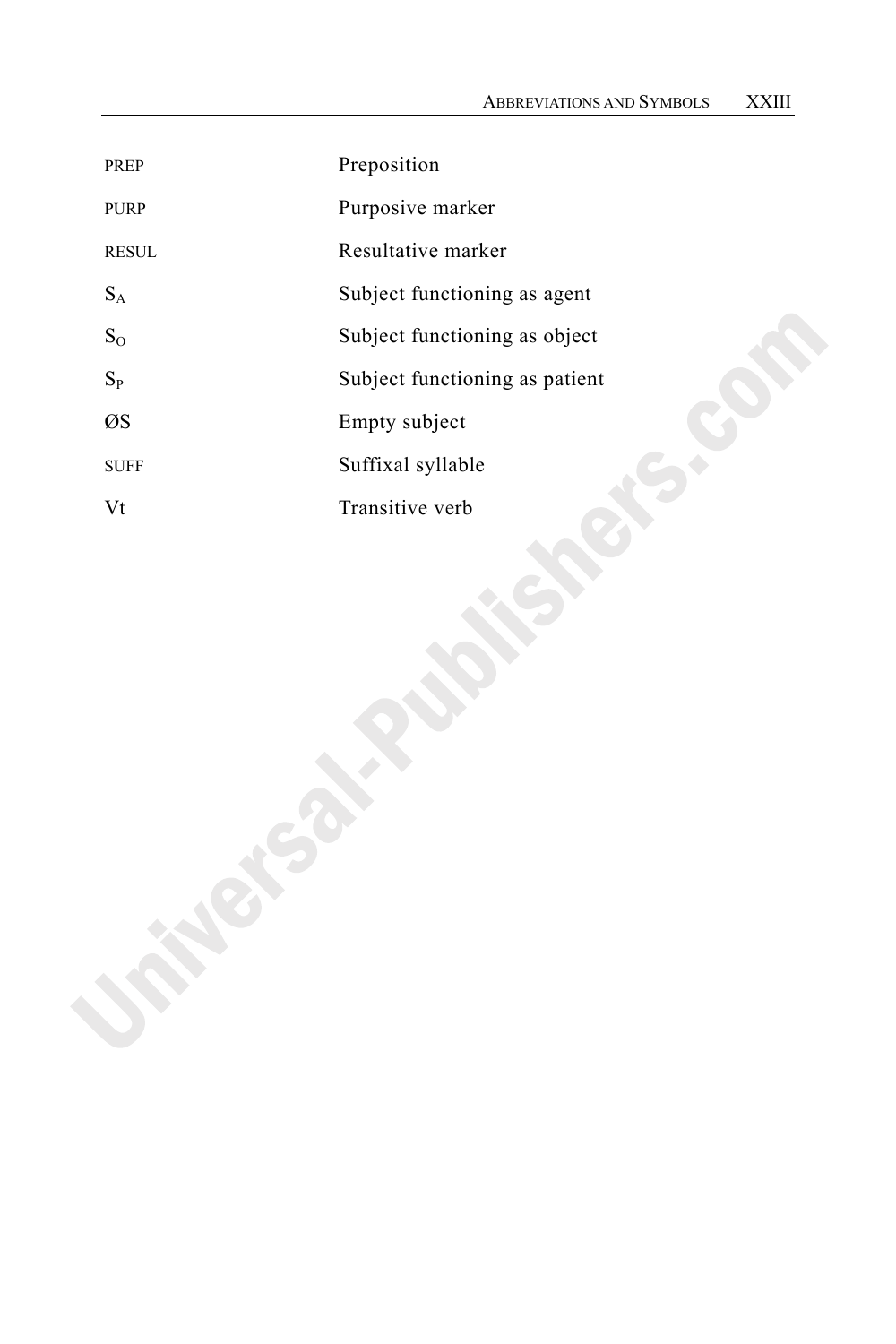| <b>PREP</b>  | Preposition                    |
|--------------|--------------------------------|
| <b>PURP</b>  | Purposive marker               |
| <b>RESUL</b> | Resultative marker             |
| $S_A$        | Subject functioning as agent   |
| $S_{O}$      | Subject functioning as object  |
| $S_{P}$      | Subject functioning as patient |
| ØS           | Empty subject                  |
| <b>SUFF</b>  | Suffixal syllable              |
| Vt           | Transitive verb                |